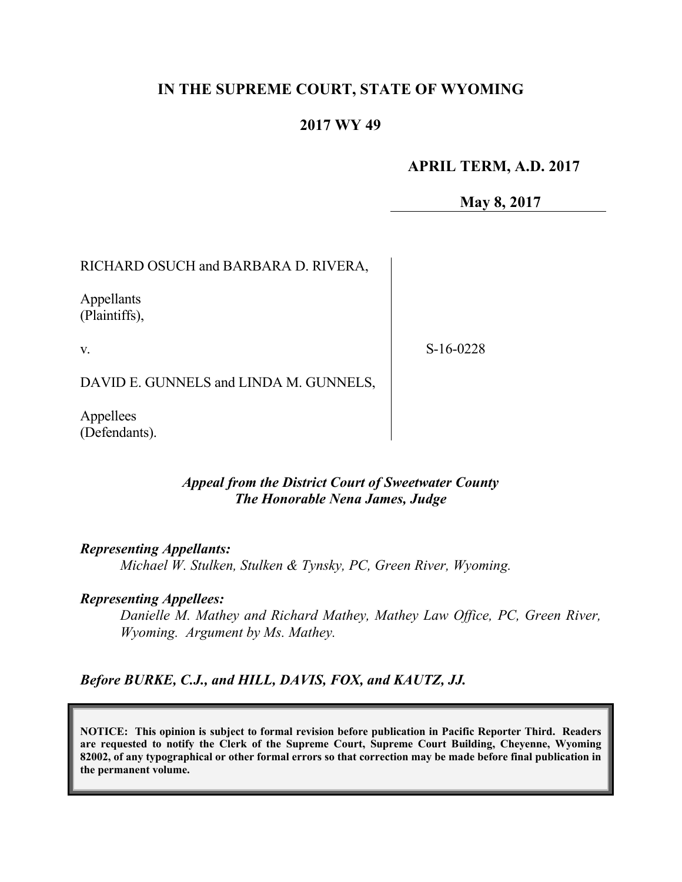# **IN THE SUPREME COURT, STATE OF WYOMING**

## **2017 WY 49**

#### **APRIL TERM, A.D. 2017**

**May 8, 2017**

RICHARD OSUCH and BARBARA D. RIVERA,

Appellants (Plaintiffs),

v.

S-16-0228

DAVID E. GUNNELS and LINDA M. GUNNELS,

Appellees (Defendants).

#### *Appeal from the District Court of Sweetwater County The Honorable Nena James, Judge*

*Representing Appellants:*

*Michael W. Stulken, Stulken & Tynsky, PC, Green River, Wyoming.*

#### *Representing Appellees:*

*Danielle M. Mathey and Richard Mathey, Mathey Law Office, PC, Green River, Wyoming. Argument by Ms. Mathey.*

*Before BURKE, C.J., and HILL, DAVIS, FOX, and KAUTZ, JJ.*

**NOTICE: This opinion is subject to formal revision before publication in Pacific Reporter Third. Readers are requested to notify the Clerk of the Supreme Court, Supreme Court Building, Cheyenne, Wyoming 82002, of any typographical or other formal errors so that correction may be made before final publication in the permanent volume.**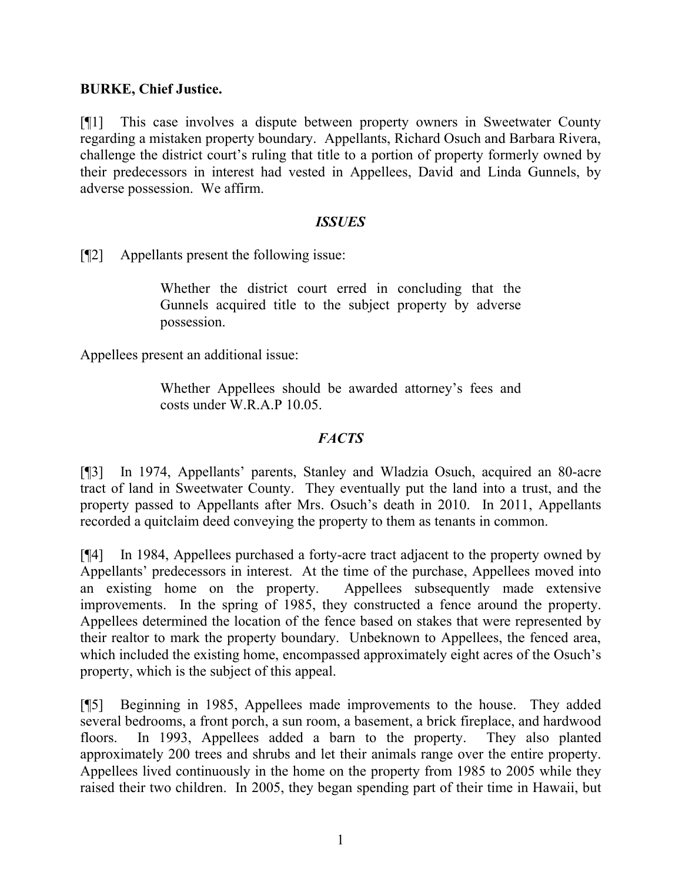## **BURKE, Chief Justice.**

[¶1] This case involves a dispute between property owners in Sweetwater County regarding a mistaken property boundary. Appellants, Richard Osuch and Barbara Rivera, challenge the district court's ruling that title to a portion of property formerly owned by their predecessors in interest had vested in Appellees, David and Linda Gunnels, by adverse possession. We affirm.

#### *ISSUES*

[¶2] Appellants present the following issue:

Whether the district court erred in concluding that the Gunnels acquired title to the subject property by adverse possession.

Appellees present an additional issue:

Whether Appellees should be awarded attorney's fees and costs under W.R.A.P 10.05.

## *FACTS*

[¶3] In 1974, Appellants' parents, Stanley and Wladzia Osuch, acquired an 80-acre tract of land in Sweetwater County. They eventually put the land into a trust, and the property passed to Appellants after Mrs. Osuch's death in 2010. In 2011, Appellants recorded a quitclaim deed conveying the property to them as tenants in common.

[¶4] In 1984, Appellees purchased a forty-acre tract adjacent to the property owned by Appellants' predecessors in interest. At the time of the purchase, Appellees moved into an existing home on the property. Appellees subsequently made extensive improvements. In the spring of 1985, they constructed a fence around the property. Appellees determined the location of the fence based on stakes that were represented by their realtor to mark the property boundary. Unbeknown to Appellees, the fenced area, which included the existing home, encompassed approximately eight acres of the Osuch's property, which is the subject of this appeal.

[¶5] Beginning in 1985, Appellees made improvements to the house. They added several bedrooms, a front porch, a sun room, a basement, a brick fireplace, and hardwood floors. In 1993, Appellees added a barn to the property. They also planted approximately 200 trees and shrubs and let their animals range over the entire property. Appellees lived continuously in the home on the property from 1985 to 2005 while they raised their two children. In 2005, they began spending part of their time in Hawaii, but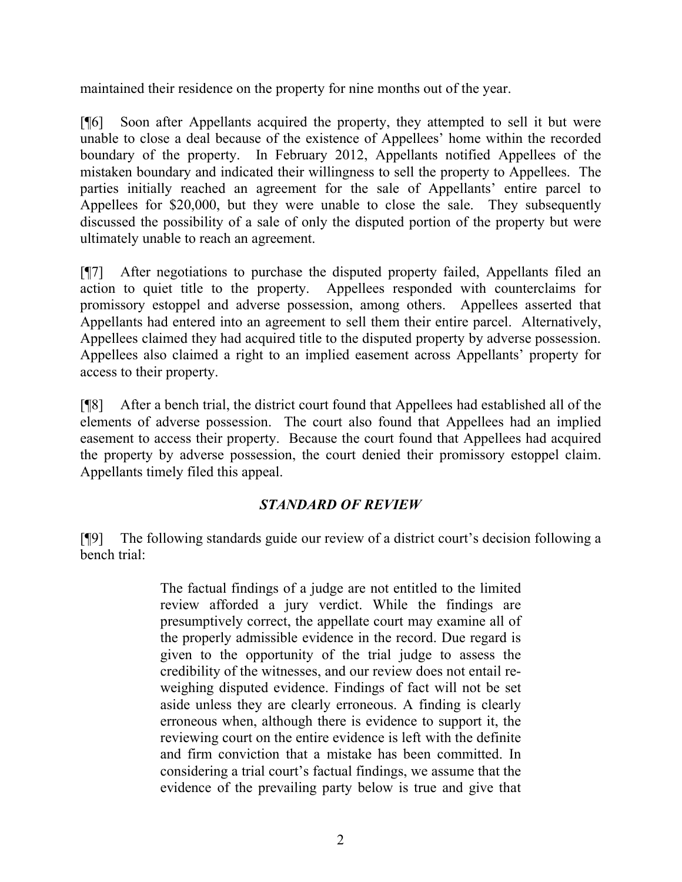maintained their residence on the property for nine months out of the year.

[¶6] Soon after Appellants acquired the property, they attempted to sell it but were unable to close a deal because of the existence of Appellees' home within the recorded boundary of the property. In February 2012, Appellants notified Appellees of the mistaken boundary and indicated their willingness to sell the property to Appellees. The parties initially reached an agreement for the sale of Appellants' entire parcel to Appellees for \$20,000, but they were unable to close the sale. They subsequently discussed the possibility of a sale of only the disputed portion of the property but were ultimately unable to reach an agreement.

[¶7] After negotiations to purchase the disputed property failed, Appellants filed an action to quiet title to the property. Appellees responded with counterclaims for promissory estoppel and adverse possession, among others. Appellees asserted that Appellants had entered into an agreement to sell them their entire parcel. Alternatively, Appellees claimed they had acquired title to the disputed property by adverse possession. Appellees also claimed a right to an implied easement across Appellants' property for access to their property.

[¶8] After a bench trial, the district court found that Appellees had established all of the elements of adverse possession. The court also found that Appellees had an implied easement to access their property. Because the court found that Appellees had acquired the property by adverse possession, the court denied their promissory estoppel claim. Appellants timely filed this appeal.

## *STANDARD OF REVIEW*

[¶9] The following standards guide our review of a district court's decision following a bench trial:

> The factual findings of a judge are not entitled to the limited review afforded a jury verdict. While the findings are presumptively correct, the appellate court may examine all of the properly admissible evidence in the record. Due regard is given to the opportunity of the trial judge to assess the credibility of the witnesses, and our review does not entail reweighing disputed evidence. Findings of fact will not be set aside unless they are clearly erroneous. A finding is clearly erroneous when, although there is evidence to support it, the reviewing court on the entire evidence is left with the definite and firm conviction that a mistake has been committed. In considering a trial court's factual findings, we assume that the evidence of the prevailing party below is true and give that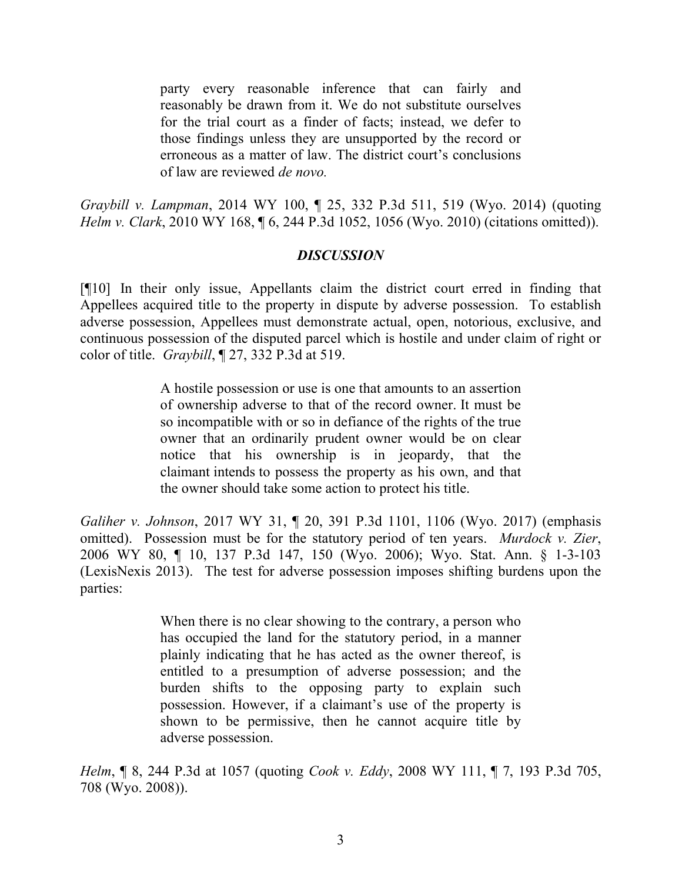party every reasonable inference that can fairly and reasonably be drawn from it. We do not substitute ourselves for the trial court as a finder of facts; instead, we defer to those findings unless they are unsupported by the record or erroneous as a matter of law. The district court's conclusions of law are reviewed *de novo.*

*Graybill v. Lampman*, 2014 WY 100, ¶ 25, 332 P.3d 511, 519 (Wyo. 2014) (quoting *Helm v. Clark*, 2010 WY 168, ¶ 6, 244 P.3d 1052, 1056 (Wyo. 2010) (citations omitted)).

### *DISCUSSION*

[¶10] In their only issue, Appellants claim the district court erred in finding that Appellees acquired title to the property in dispute by adverse possession. To establish adverse possession, Appellees must demonstrate actual, open, notorious, exclusive, and continuous possession of the disputed parcel which is hostile and under claim of right or color of title. *Graybill*, ¶ 27, 332 P.3d at 519.

> A hostile possession or use is one that amounts to an assertion of ownership adverse to that of the record owner. It must be so incompatible with or so in defiance of the rights of the true owner that an ordinarily prudent owner would be on clear notice that his ownership is in jeopardy, that the claimant intends to possess the property as his own, and that the owner should take some action to protect his title.

*Galiher v. Johnson*, 2017 WY 31, ¶ 20, 391 P.3d 1101, 1106 (Wyo. 2017) (emphasis omitted). Possession must be for the statutory period of ten years. *Murdock v. Zier*, 2006 WY 80, ¶ 10, 137 P.3d 147, 150 (Wyo. 2006); Wyo. Stat. Ann. § 1-3-103 (LexisNexis 2013). The test for adverse possession imposes shifting burdens upon the parties:

> When there is no clear showing to the contrary, a person who has occupied the land for the statutory period, in a manner plainly indicating that he has acted as the owner thereof, is entitled to a presumption of adverse possession; and the burden shifts to the opposing party to explain such possession. However, if a claimant's use of the property is shown to be permissive, then he cannot acquire title by adverse possession.

*Helm*, ¶ 8, 244 P.3d at 1057 (quoting *Cook v. Eddy*, 2008 WY 111, ¶ 7, 193 P.3d 705, 708 (Wyo. 2008)).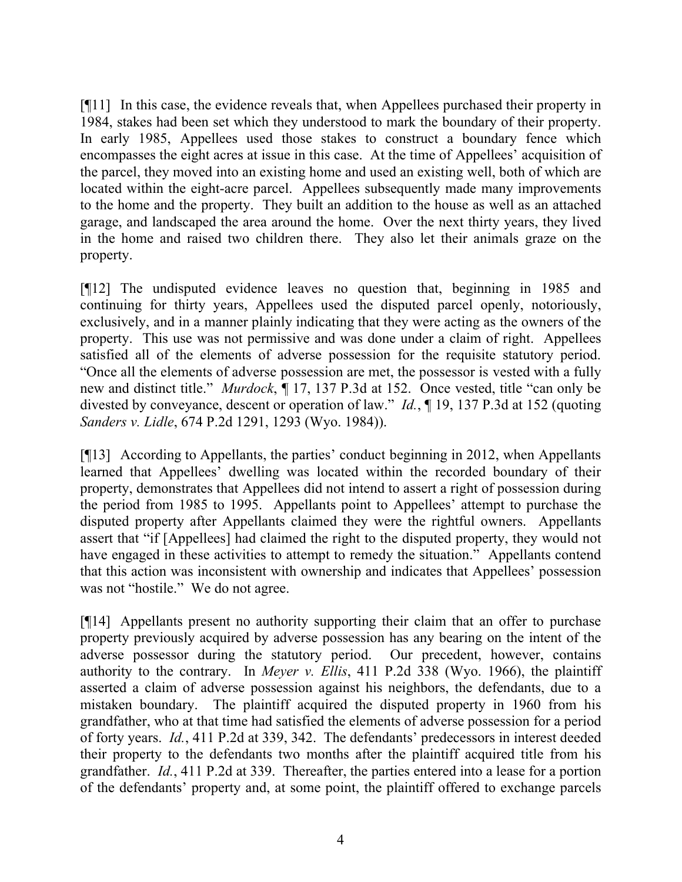[¶11] In this case, the evidence reveals that, when Appellees purchased their property in 1984, stakes had been set which they understood to mark the boundary of their property. In early 1985, Appellees used those stakes to construct a boundary fence which encompasses the eight acres at issue in this case. At the time of Appellees' acquisition of the parcel, they moved into an existing home and used an existing well, both of which are located within the eight-acre parcel. Appellees subsequently made many improvements to the home and the property. They built an addition to the house as well as an attached garage, and landscaped the area around the home. Over the next thirty years, they lived in the home and raised two children there. They also let their animals graze on the property.

[¶12] The undisputed evidence leaves no question that, beginning in 1985 and continuing for thirty years, Appellees used the disputed parcel openly, notoriously, exclusively, and in a manner plainly indicating that they were acting as the owners of the property. This use was not permissive and was done under a claim of right. Appellees satisfied all of the elements of adverse possession for the requisite statutory period. "Once all the elements of adverse possession are met, the possessor is vested with a fully new and distinct title." *Murdock*, ¶ 17, 137 P.3d at 152. Once vested, title "can only be divested by conveyance, descent or operation of law." *Id.*, ¶ 19, 137 P.3d at 152 (quoting *Sanders v. Lidle*, 674 P.2d 1291, 1293 (Wyo. 1984)).

[¶13] According to Appellants, the parties' conduct beginning in 2012, when Appellants learned that Appellees' dwelling was located within the recorded boundary of their property, demonstrates that Appellees did not intend to assert a right of possession during the period from 1985 to 1995. Appellants point to Appellees' attempt to purchase the disputed property after Appellants claimed they were the rightful owners. Appellants assert that "if [Appellees] had claimed the right to the disputed property, they would not have engaged in these activities to attempt to remedy the situation." Appellants contend that this action was inconsistent with ownership and indicates that Appellees' possession was not "hostile." We do not agree.

[¶14] Appellants present no authority supporting their claim that an offer to purchase property previously acquired by adverse possession has any bearing on the intent of the adverse possessor during the statutory period. Our precedent, however, contains authority to the contrary. In *Meyer v. Ellis*, 411 P.2d 338 (Wyo. 1966), the plaintiff asserted a claim of adverse possession against his neighbors, the defendants, due to a mistaken boundary. The plaintiff acquired the disputed property in 1960 from his grandfather, who at that time had satisfied the elements of adverse possession for a period of forty years. *Id.*, 411 P.2d at 339, 342. The defendants' predecessors in interest deeded their property to the defendants two months after the plaintiff acquired title from his grandfather. *Id.*, 411 P.2d at 339. Thereafter, the parties entered into a lease for a portion of the defendants' property and, at some point, the plaintiff offered to exchange parcels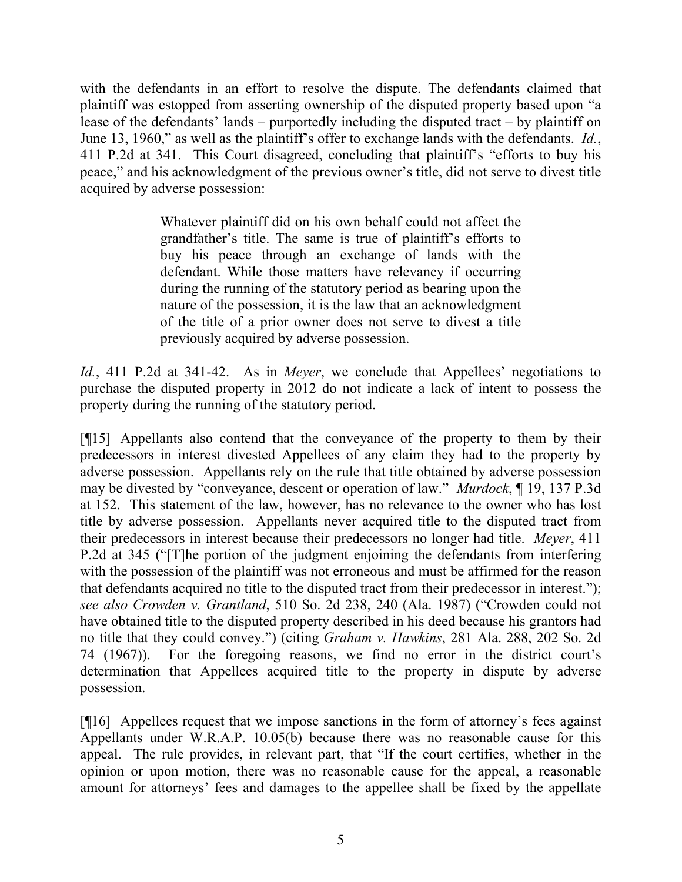with the defendants in an effort to resolve the dispute. The defendants claimed that plaintiff was estopped from asserting ownership of the disputed property based upon "a lease of the defendants' lands – purportedly including the disputed tract – by plaintiff on June 13, 1960," as well as the plaintiff's offer to exchange lands with the defendants. *Id.*, 411 P.2d at 341. This Court disagreed, concluding that plaintiff's "efforts to buy his peace," and his acknowledgment of the previous owner's title, did not serve to divest title acquired by adverse possession:

> Whatever plaintiff did on his own behalf could not affect the grandfather's title. The same is true of plaintiff's efforts to buy his peace through an exchange of lands with the defendant. While those matters have relevancy if occurring during the running of the statutory period as bearing upon the nature of the possession, it is the law that an acknowledgment of the title of a prior owner does not serve to divest a title previously acquired by adverse possession.

*Id.*, 411 P.2d at 341-42. As in *Meyer*, we conclude that Appellees' negotiations to purchase the disputed property in 2012 do not indicate a lack of intent to possess the property during the running of the statutory period.

[¶15] Appellants also contend that the conveyance of the property to them by their predecessors in interest divested Appellees of any claim they had to the property by adverse possession. Appellants rely on the rule that title obtained by adverse possession may be divested by "conveyance, descent or operation of law." *Murdock*, ¶ 19, 137 P.3d at 152. This statement of the law, however, has no relevance to the owner who has lost title by adverse possession. Appellants never acquired title to the disputed tract from their predecessors in interest because their predecessors no longer had title. *Meyer*, 411 P.2d at 345 ("[T]he portion of the judgment enjoining the defendants from interfering with the possession of the plaintiff was not erroneous and must be affirmed for the reason that defendants acquired no title to the disputed tract from their predecessor in interest."); *see also Crowden v. Grantland*, 510 So. 2d 238, 240 (Ala. 1987) ("Crowden could not have obtained title to the disputed property described in his deed because his grantors had no title that they could convey.") (citing *Graham v. Hawkins*, 281 Ala. 288, 202 So. 2d 74 (1967)). For the foregoing reasons, we find no error in the district court's determination that Appellees acquired title to the property in dispute by adverse possession.

[¶16] Appellees request that we impose sanctions in the form of attorney's fees against Appellants under W.R.A.P. 10.05(b) because there was no reasonable cause for this appeal. The rule provides, in relevant part, that "If the court certifies, whether in the opinion or upon motion, there was no reasonable cause for the appeal, a reasonable amount for attorneys' fees and damages to the appellee shall be fixed by the appellate